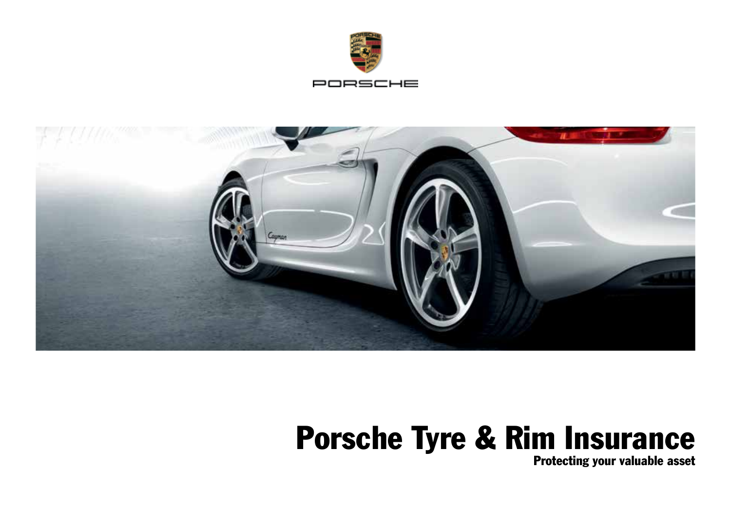



# Porsche Tyre & Rim Insurance

Protecting your valuable asset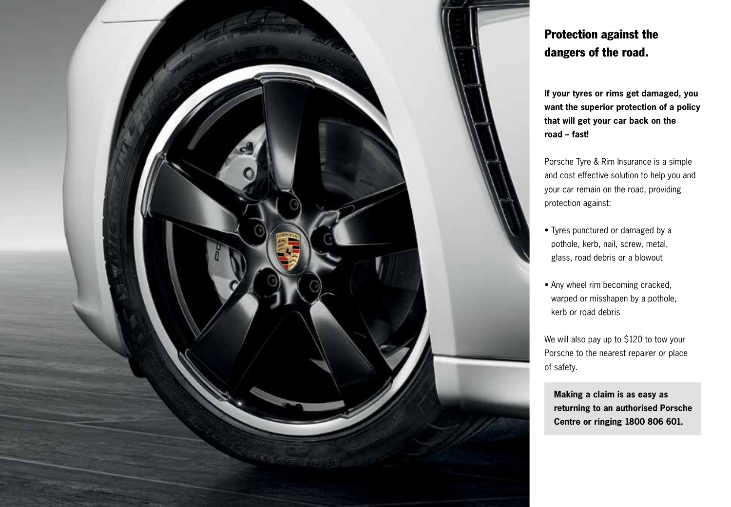

# Protection against the dangers of the road.

**If your tyres or rims get damaged, you want the superior protection of a policy that will get your car back on the road – fast!**

Porsche Tyre & Rim Insurance is a simple and cost effective solution to help you and your car remain on the road, providing protection against:

- Tyres punctured or damaged by a pothole, kerb, nail, screw, metal, glass, road debris or a blowout
- Any wheel rim becoming cracked, warped or misshapen by a pothole, kerb or road debris

We will also pay up to \$120 to tow your Porsche to the nearest repairer or place of safety.

 **Making a claim is as easy as returning to an authorised Porsche Centre or ringing 1800 806 601.**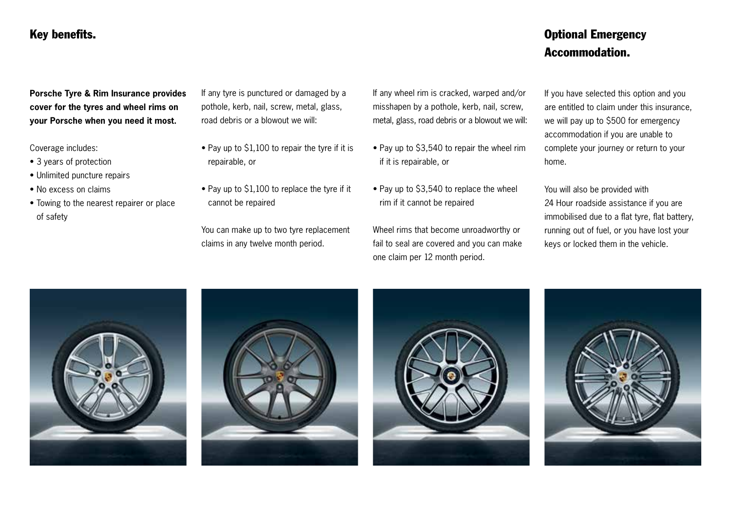### Key benefits.

## Optional Emergency Accommodation.

**Porsche Tyre & Rim Insurance provides cover for the tyres and wheel rims on your Porsche when you need it most.**

Coverage includes:

- 3 years of protection
- Unlimited puncture repairs
- No excess on claims
- Towing to the nearest repairer or place of safety

If any tyre is punctured or damaged by a pothole, kerb, nail, screw, metal, glass, road debris or a blowout we will:

- Pay up to \$1,100 to repair the tyre if it is repairable, or
- Pay up to \$1,100 to replace the tyre if it cannot be repaired

You can make up to two tyre replacement claims in any twelve month period.

If any wheel rim is cracked, warped and/or misshapen by a pothole, kerb, nail, screw, metal, glass, road debris or a blowout we will:

- Pay up to \$3,540 to repair the wheel rim if it is repairable, or
- Pay up to \$3,540 to replace the wheel rim if it cannot be repaired

Wheel rims that become unroadworthy or fail to seal are covered and you can make one claim per 12 month period.

If you have selected this option and you are entitled to claim under this insurance, we will pay up to \$500 for emergency accommodation if you are unable to complete your journey or return to your home.

You will also be provided with 24 Hour roadside assistance if you are immobilised due to a flat tyre, flat battery, running out of fuel, or you have lost your keys or locked them in the vehicle.